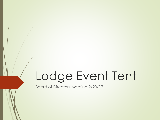# Lodge Event Tent

Board of Directors Meeting 9/23/17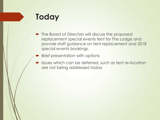## **Today**

- The Board of Directors will discuss the proposed replacement special events tent for The Lodge and provide staff guidance on tent replacement and 2018 special events bookings.
- Brief presentation with options
- **Issues which can be deferred, such as tent re-location** are not being addressed today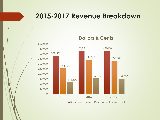#### **2015-2017 Revenue Breakdown**



**Dollars & Cents**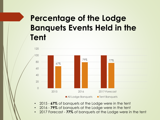## **Percentage of the Lodge Banquets Events Held in the Tent**



- 2015 **67%** of banquets at the Lodge were in the tent
- 2016 **79%** of banquets at the Lodge were in the tent
- 2017 Forecast **77%** of banquets at the Lodge were in the tent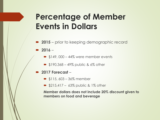## **Percentage of Member Events in Dollars**

- **2015** prior to keeping demographic record
- **2016**
	- $\bullet$  \$149, 000 44% were member events
	- $\implies$  \$190,368 49% public & 6% other
- **2017 Forecast** 
	- $\bullet$  \$115, 603 36% member
	- $\Rightarrow$  \$215,417 63% public & 1% other

**Member dollars does not include 20% discount given to members on food and beverage**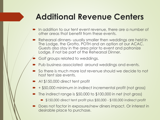## **Additional Revenue Centers**

- **In addition to our tent event revenue, there are a number of** other areas that benefit from these events.
- Rehearsal dinners- usually smaller then weddings are held in The Lodge, the Grotto, POTH and an option at our ACAC. Guests also stay in the area prior to event and patronize Lodge, if not be part of the Rehearsal Dinner.
- Golf groups related to weddings.
- Pub business associated around weddings and events.
- So there is much more lost revenue should we decide to not host tent size events.
- At \$150,000 direct tent profit
- + \$50,000 minimum in indirect incremental profit (not gross)
- The indirect range is \$50,000 to \$100,000 in net (not gross)
	- $\bullet$  \$150,000 direct tent profit plus \$50,000 \$100,000 indirect profit
- Does not factor in exposure/new diners impact. Or interest in desirable place to purchase.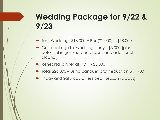## **Wedding Package for 9/22 & 9/23**

Tent Wedding- \$16,000 + Bar (\$2,000) = \$18,000

- Golf package for wedding party \$3,000 (plus potential in golf shop purchases and additional alcohol)
- Rehearsal dinner at POTH- \$5,000
- Total \$26,000 using banquet profit equation \$11,700
- Friday and Saturday of less peak season (2 days)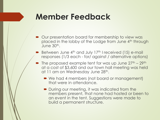#### **Member Feedback**

- Our presentation board for membership to view was placed in the lobby of the Lodge from June 4<sup>th</sup> through June 30th.
- Between June  $4<sup>th</sup>$  and July 17<sup>th</sup> I received (15) e-mail responses (1/3 each - for/ against / alternative options)
- The proposed example tent for was up June  $27^{th}$   $29^{th}$ at a cost of \$3,600 and our town hall meeting was held at 11 am on Wednesday June 28<sup>th</sup>.
	- We had 4 members (not board or management) that were in attendance.
	- During our meeting, it was indicated from the members present, that none had hosted or been to an event in the tent. Suggestions were made to build a permanent structure.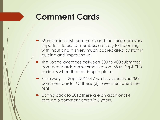### **Comment Cards**

- **Member interest, comments and feedback are very** important to us. TD members are very forthcoming with input and it is very much appreciated by staff in guiding and improving us.
- The Lodge averages between 300 to 400 submitted comment cards per summer season. May- Sept. This period is when the tent is up in place.
- From May  $1 -$  Sept 15<sup>th</sup> 2017 we have received 369 comment cards. Of these (2) have mentioned the tent
- Dating back to 2012 there are an additional 4, totaling 6 comment cards in 6 years.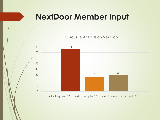#### **NextDoor Member Input**

 <sup>29</sup> "Circus Tent" Posts on NextDoor  $\blacksquare$ # of replies - 76  $\blacksquare$  # of people- 26  $\blacksquare$  # of references to tent -29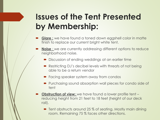## **Issues of the Tent Presented by Membership:**

- **Glare :** we have found a toned down eggshell color in matte finish to replace our current bright white tent.
- **Noise** : we are currently addressing different options to reduce neighborhood noise.
	- Discussion of ending weddings at an earlier time
	- Restricting DJ's decibel levels with threats of not being able to be a return vendor
	- Facing speaker system away from condos
	- Purchasing sound absorption wall pieces for condo side of tent
- **Obstruction of view:** we have found a lower profile tent reducing height from 21 feet to 18 feet (height of our deck rail).
	- Tent obstructs around 25 % of seating. Mostly main dining room. Remaining 75 % faces other directions.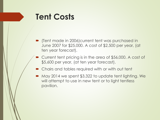#### **Tent Costs**

- (Tent made in 2006)current tent was purchased in June 2007 for \$25,000. A cost of \$2,500 per year, (at ten year forecast).
- Current tent pricing is in the area of \$56,000. A cost of \$5,600 per year, (at ten year forecast).
- Chairs and tables required with or with out tent
- May 2014 we spent \$3,322 to update tent lighting. We will attempt to use in new tent or to light tentless pavilion.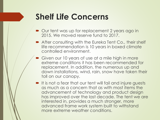## **Shelf Life Concerns**

- Our tent was up for replacement 2 years ago in 2015. We moved reserve fund to 2017.
- After consulting with the Eureka Tent Co., their shelf life recommendation is 10 years in boxed climate controlled environment.
- Given our 10 years of use at a mile high in more extreme conditions it has been recommended for replacement. In addition, the numerous up and down installations, wind, rain, snow have taken their toll on our canopy.
- It is not a fear that our tent will fail and injure guests as much as a concern that as with most items the advancement of technology and product design has improved over the last decade. The tent we are interested in, provides a much stronger, more advanced frame work system built to withstand more extreme weather conditions.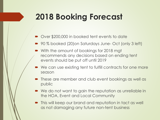## **2018 Booking Forecast**

- Over \$200,000 in booked tent events to date
- 90 % booked (20)on Saturdays June- Oct (only 3 left)
- With the amount of bookings for 2018 mgt recommends any decisions based on ending tent events should be put off until 2019
- We can use existing tent to fulfill contracts for one more season
- **•** These are member and club event bookings as well as public
- We do not want to gain the reputation as unreliable in the HOA, Event and Local Community
- $\blacksquare$  This will keep our brand and reputation in tact as well as not damaging any future non-tent business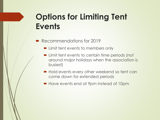## **Options for Limiting Tent Events**

- Recommendations for 2019
	- **Limit tent events to members only**
	- Limit tent events to certain time periods (not around major holidays when the association is busiest)
	- Hold events every other weekend so tent can come down for extended periods
	- Have events end at 9pm instead of 10pm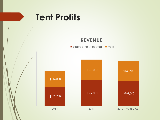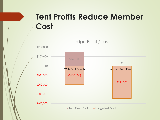## **Tent Profits Reduce Member Cost**